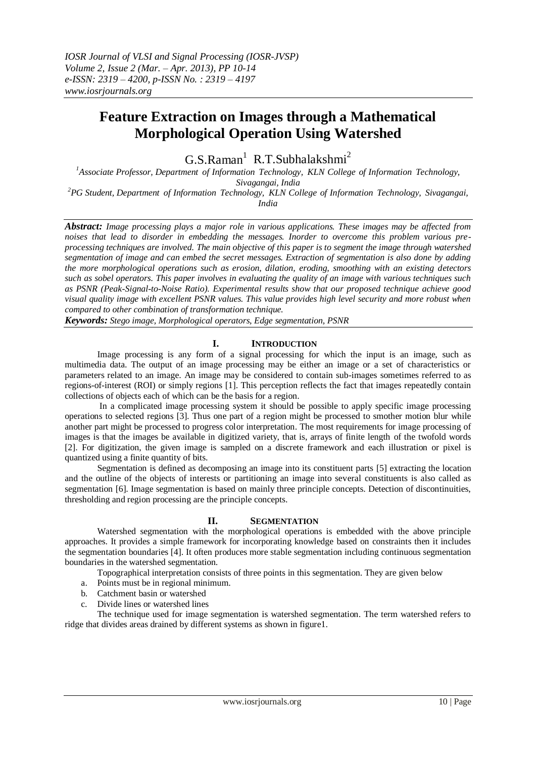# **Feature Extraction on Images through a Mathematical Morphological Operation Using Watershed**

 $G.S.Raman<sup>1</sup> R.T.Subhalakshmi<sup>2</sup>$ 

*<sup>1</sup>Associate Professor, Department of Information Technology, KLN College of Information Technology, Sivagangai, India*

*<sup>2</sup>PG Student, Department of Information Technology, KLN College of Information Technology, Sivagangai, India*

*Abstract: Image processing plays a major role in various applications. These images may be affected from noises that lead to disorder in embedding the messages. Inorder to overcome this problem various preprocessing techniques are involved. The main objective of this paper is to segment the image through watershed segmentation of image and can embed the secret messages. Extraction of segmentation is also done by adding the more morphological operations such as erosion, dilation, eroding, smoothing with an existing detectors such as sobel operators. This paper involves in evaluating the quality of an image with various techniques such as PSNR (Peak-Signal-to-Noise Ratio). Experimental results show that our proposed technique achieve good visual quality image with excellent PSNR values. This value provides high level security and more robust when compared to other combination of transformation technique.*

*Keywords: Stego image, Morphological operators, Edge segmentation, PSNR*

# **I. INTRODUCTION**

Image processing is any form of a signal processing for which the input is an image, such as multimedia data. The output of an image processing may be either an image or a set of characteristics or parameters related to an image. An image may be considered to contain sub-images sometimes referred to as regions-of-interest (ROI) or simply regions [1]. This perception reflects the fact that images repeatedly contain collections of objects each of which can be the basis for a region.

In a complicated image processing system it should be possible to apply specific image processing operations to selected regions [3]. Thus one part of a region might be processed to smother motion blur while another part might be processed to progress color interpretation. The most requirements for image processing of images is that the images be available in digitized variety, that is, arrays of finite length of the twofold words [2]. For digitization, the given image is sampled on a discrete framework and each illustration or pixel is quantized using a finite quantity of bits.

Segmentation is defined as decomposing an image into its constituent parts [5] extracting the location and the outline of the objects of interests or partitioning an image into several constituents is also called as segmentation [6]. Image segmentation is based on mainly three principle concepts. Detection of discontinuities, thresholding and region processing are the principle concepts.

# **II. SEGMENTATION**

Watershed segmentation with the morphological operations is embedded with the above principle approaches. It provides a simple framework for incorporating knowledge based on constraints then it includes the segmentation boundaries [4]. It often produces more stable segmentation including continuous segmentation boundaries in the watershed segmentation.

Topographical interpretation consists of three points in this segmentation. They are given below

- a. Points must be in regional minimum.
- b. Catchment basin or watershed
- c. Divide lines or watershed lines

The technique used for image segmentation is watershed segmentation. The term watershed refers to ridge that divides areas drained by different systems as shown in figure1.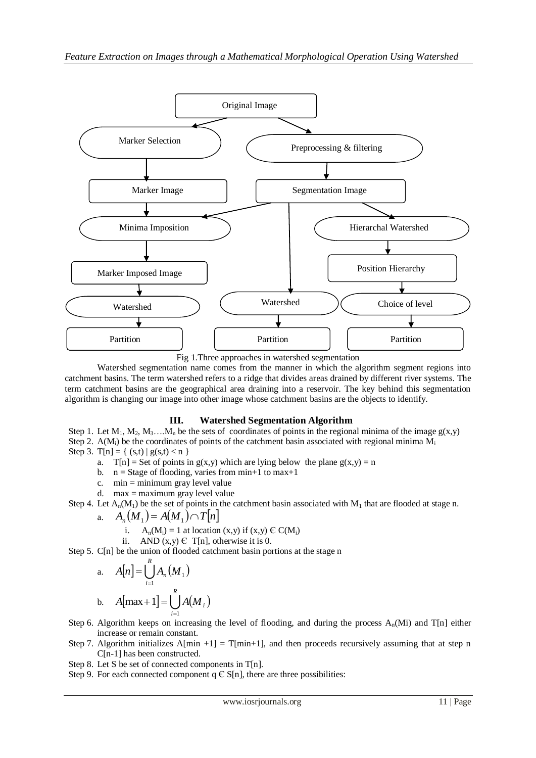

Fig 1.Three approaches in watershed segmentation

Watershed segmentation name comes from the manner in which the algorithm segment regions into catchment basins. The term watershed refers to a ridge that divides areas drained by different river systems. The term catchment basins are the geographical area draining into a reservoir. The key behind this segmentation algorithm is changing our image into other image whose catchment basins are the objects to identify.

# **III. Watershed Segmentation Algorithm**

Step 1. Let  $M_1, M_2, M_3, \ldots, M_n$  be the sets of coordinates of points in the regional minima of the image  $g(x,y)$ Step 2.  $A(M_i)$  be the coordinates of points of the catchment basin associated with regional minima  $M_i$ Step 3. T[n] = {  $(s,t) | g(s,t) < n$  }

- a.  $T[n] = Set of points in g(x,y) which are lying below the plane g(x,y) = n$
- b.  $n =$  Stage of flooding, varies from min+1 to max+1
- c. min = minimum gray level value
- d. max = maximum gray level value

Step 4. Let  $A_n(M_1)$  be the set of points in the catchment basin associated with  $M_1$  that are flooded at stage n. a.  $A(x, t)$ 

$$
A_n(M_1) = A(M_1) \cap T[n]
$$

- i.  $A_n(M_i) = 1$  at location  $(x,y)$  if  $(x,y) \in C(M_i)$
- ii. AND  $(x,y) \in T[n]$ , otherwise it is 0.

Step 5. C[n] be the union of flooded catchment basin portions at the stage n

a. 
$$
A[n] = \bigcup_{i=1}^{R} A_n(M_1)
$$
  
b.  $A[\max + 1] = \bigcup_{i=1}^{R} A(M_i)$ 

- Step 6. Algorithm keeps on increasing the level of flooding, and during the process  $A_n(Mi)$  and  $T[n]$  either increase or remain constant.
- Step 7. Algorithm initializes A[min +1] = T[min+1], and then proceeds recursively assuming that at step n C[n-1] has been constructed.
- Step 8. Let S be set of connected components in T[n].
- Step 9. For each connected component  $q \in S[n]$ , there are three possibilities: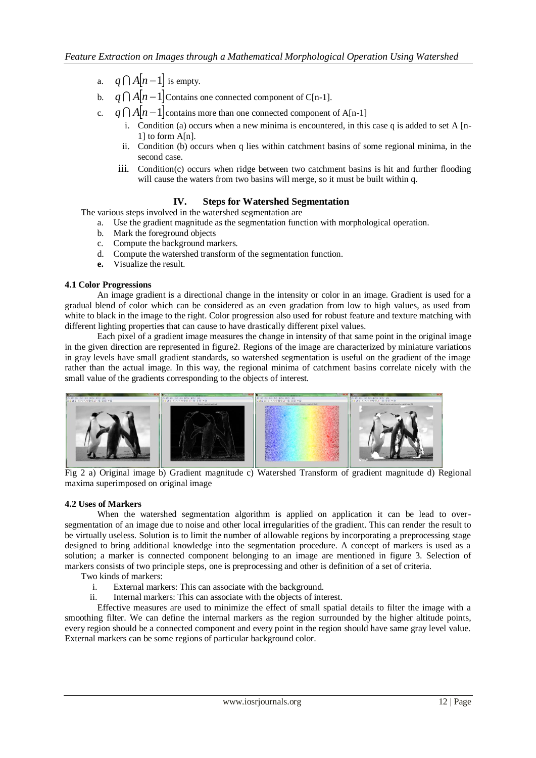- a.  $q \bigcap A | n 1 |$  is empty.
- b.  $q \bigcap A | n 1 |$  Contains one connected component of C[n-1].
- c.  $q \bigcap A[n-1]$  contains more than one connected component of A[n-1]
	- i. Condition (a) occurs when a new minima is encountered, in this case q is added to set A  $[n-$ 1] to form A[n].
	- ii. Condition (b) occurs when q lies within catchment basins of some regional minima, in the second case.
	- iii. Condition(c) occurs when ridge between two catchment basins is hit and further flooding will cause the waters from two basins will merge, so it must be built within q.

# **IV. Steps for Watershed Segmentation**

The various steps involved in the watershed segmentation are

- a. Use the gradient magnitude as the segmentation function with morphological operation.
- b. Mark the foreground objects
- c. Compute the background markers.
- d. Compute the watershed transform of the segmentation function.
- **e.** Visualize the result.

#### **4.1 Color Progressions**

An image gradient is a directional change in the intensity or color in an image. Gradient is used for a gradual blend of color which can be considered as an even gradation from low to high values, as used from white to black in the image to the right. Color progression also used for robust feature and texture matching with different lighting properties that can cause to have drastically different pixel values.

Each pixel of a gradient image measures the change in intensity of that same point in the original image in the given direction are represented in figure2. Regions of the image are characterized by miniature variations in gray levels have small gradient standards, so watershed segmentation is useful on the gradient of the image rather than the actual image. In this way, the regional minima of catchment basins correlate nicely with the small value of the gradients corresponding to the objects of interest.



Fig 2 a) Original image b) Gradient magnitude c) Watershed Transform of gradient magnitude d) Regional maxima superimposed on original image

# **4.2 Uses of Markers**

When the watershed segmentation algorithm is applied on application it can be lead to oversegmentation of an image due to noise and other local irregularities of the gradient. This can render the result to be virtually useless. Solution is to limit the number of allowable regions by incorporating a preprocessing stage designed to bring additional knowledge into the segmentation procedure. A concept of markers is used as a solution; a marker is connected component belonging to an image are mentioned in figure 3. Selection of markers consists of two principle steps, one is preprocessing and other is definition of a set of criteria.

Two kinds of markers:

- i. External markers: This can associate with the background.
- ii. Internal markers: This can associate with the objects of interest.

Effective measures are used to minimize the effect of small spatial details to filter the image with a smoothing filter. We can define the internal markers as the region surrounded by the higher altitude points, every region should be a connected component and every point in the region should have same gray level value. External markers can be some regions of particular background color.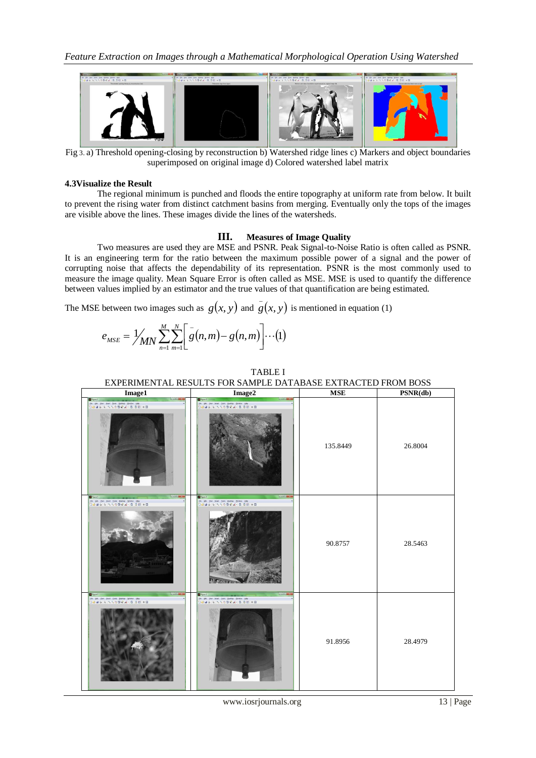

Fig 3. a) Threshold opening-closing by reconstruction b) Watershed ridge lines c) Markers and object boundaries superimposed on original image d) Colored watershed label matrix

#### **4.3Visualize the Result**

The regional minimum is punched and floods the entire topography at uniform rate from below. It built to prevent the rising water from distinct catchment basins from merging. Eventually only the tops of the images are visible above the lines. These images divide the lines of the watersheds.

#### **III. Measures of Image Quality**

Two measures are used they are MSE and PSNR. Peak Signal-to-Noise Ratio is often called as PSNR. It is an engineering term for the ratio between the maximum possible power of a signal and the power of corrupting noise that affects the dependability of its representation. PSNR is the most commonly used to measure the image quality. Mean Square Error is often called as MSE. MSE is used to quantify the difference between values implied by an estimator and the true values of that quantification are being estimated.

TABLE I

The MSE between two images such as  $g(x, y)$  and  $\overline{g}(x, y)$ is mentioned in equation (1)

$$
e_{MSE} = \frac{1}{N} \sum_{n=1}^{M} \sum_{m=1}^{N} \left[ \bar{g}(n,m) - g(n,m) \right] \cdots (1)
$$

# EXPERIMENTAL RESULTS FOR SAMPLE DATABASE EXTRACTED FROM BOSS **Image1 Image2 MSE PSNR(db)**  $\begin{array}{ll} \text{Test:} & \text{Euler:} & \text{Bul} \\ \mathcal{N} & \text{O} \otimes \mathcal{Q}, \text{ of } \mathcal{N} \times \mathbb{Q}, \text{ } \square \text{ } \square \end{array}$  $108$  yes **IIR** Yes 135.8449 26.8004 Salah R R R O D R A - C 0 0 0 1 IR Yes your Test Deltoy Wedow Help 90.8757 28.5463 Select the Test Select Weder Big 91.8956 28.4979

www.iosrjournals.org 13 | Page